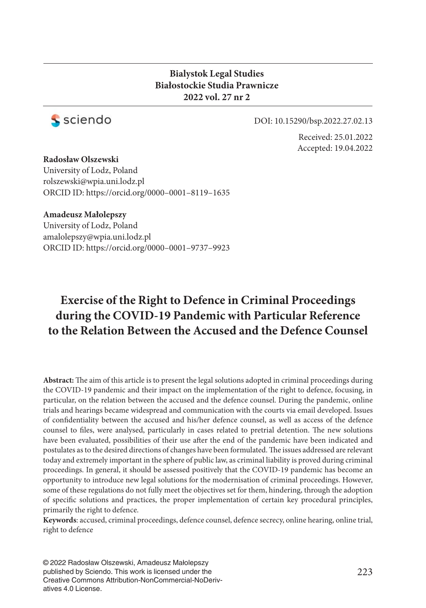### **Bialystok Legal Studies Białostockie Studia Prawnicze 2022 vol. 27 nr 2**



DOI: 10.15290/bsp.2022.27.02.13

Received: 25.01.2022 Accepted: 19.04.2022

### **Radosław Olszewski**

University of Lodz, Poland rolszewski@wpia.uni.lodz.pl ORCID ID: https://orcid.org/0000–0001–8119–1635

### **Amadeusz Małolepszy**

University of Lodz, Poland amalolepszy@wpia.uni.lodz.pl ORCID ID: https://orcid.org/0000–0001–9737–9923

# **Exercise of the Right to Defence in Criminal Proceedings during the COVID-19 Pandemic with Particular Reference to the Relation Between the Accused and the Defence Counsel**

Abstract: The aim of this article is to present the legal solutions adopted in criminal proceedings during the COVID-19 pandemic and their impact on the implementation of the right to defence, focusing, in particular, on the relation between the accused and the defence counsel. During the pandemic, online trials and hearings became widespread and communication with the courts via email developed. Issues of confidentiality between the accused and his/her defence counsel, as well as access of the defence counsel to files, were analysed, particularly in cases related to pretrial detention. The new solutions have been evaluated, possibilities of their use after the end of the pandemic have been indicated and postulates as to the desired directions of changes have been formulated. The issues addressed are relevant today and extremely important in the sphere of public law, as criminal liability is proved during criminal proceedings. In general, it should be assessed positively that the COVID-19 pandemic has become an opportunity to introduce new legal solutions for the modernisation of criminal proceedings. However, some of these regulations do not fully meet the objectives set for them, hindering, through the adoption of specifi c solutions and practices, the proper implementation of certain key procedural principles, primarily the right to defence.

**Keywords**: accused, criminal proceedings, defence counsel, defence secrecy, online hearing, online trial, right to defence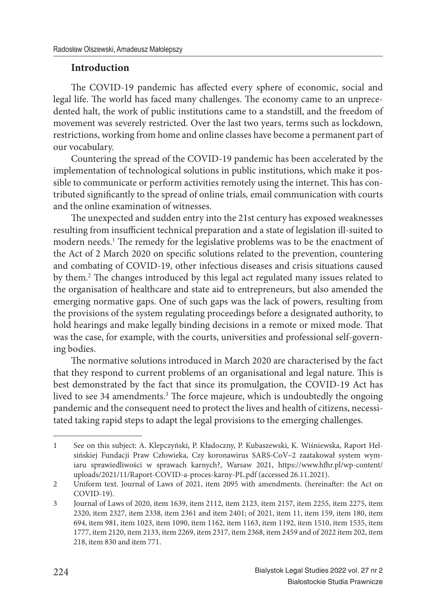## **Introduction**

The COVID-19 pandemic has affected every sphere of economic, social and legal life. The world has faced many challenges. The economy came to an unprecedented halt, the work of public institutions came to a standstill, and the freedom of movement was severely restricted. Over the last two years, terms such as lockdown*,* restrictions, working from home and online classes have become a permanent part of our vocabulary.

Countering the spread of the COVID-19 pandemic has been accelerated by the implementation of technological solutions in public institutions, which make it possible to communicate or perform activities remotely using the internet. This has contributed significantly to the spread of online trials, email communication with courts and the online examination of witnesses.

The unexpected and sudden entry into the 21st century has exposed weaknesses resulting from insufficient technical preparation and a state of legislation ill-suited to modern needs.<sup>1</sup> The remedy for the legislative problems was to be the enactment of the Act of 2 March 2020 on specific solutions related to the prevention, countering and combating of COVID-19, other infectious diseases and crisis situations caused by them.<sup>2</sup> The changes introduced by this legal act regulated many issues related to the organisation of healthcare and state aid to entrepreneurs, but also amended the emerging normative gaps. One of such gaps was the lack of powers, resulting from the provisions of the system regulating proceedings before a designated authority, to hold hearings and make legally binding decisions in a remote or mixed mode. That was the case, for example, with the courts, universities and professional self-governing bodies.

The normative solutions introduced in March 2020 are characterised by the fact that they respond to current problems of an organisational and legal nature. This is best demonstrated by the fact that since its promulgation, the COVID-19 Act has lived to see 34 amendments.<sup>3</sup> The force majeure, which is undoubtedly the ongoing pandemic and the consequent need to protect the lives and health of citizens, necessitated taking rapid steps to adapt the legal provisions to the emerging challenges.

<sup>1</sup> See on this subject: A. Klepczyński, P. Kładoczny, P. Kubaszewski, K. Wiśniewska, Raport Helsińskiej Fundacji Praw Człowieka, Czy koronawirus SARS-CoV–2 zaatakował system wymiaru sprawiedliwości w sprawach karnych?, Warsaw 2021, https://www.hfhr.pl/wp-content/ uploads/2021/11/Raport-COVID-a-proces-karny-PL.pdf (accessed 26.11.2021).

<sup>2</sup> Uniform text. Journal of Laws of 2021, item 2095 with amendments. (hereinafter: the Act on COVID-19).

<sup>3</sup> Journal of Laws of 2020, item 1639, item 2112, item 2123, item 2157, item 2255, item 2275, item 2320, item 2327, item 2338, item 2361 and item 2401; of 2021, item 11, item 159, item 180, item 694, item 981, item 1023, item 1090, item 1162, item 1163, item 1192, item 1510, item 1535, item 1777, item 2120, item 2133, item 2269, item 2317, item 2368, item 2459 and of 2022 item 202, item 218, item 830 and item 771.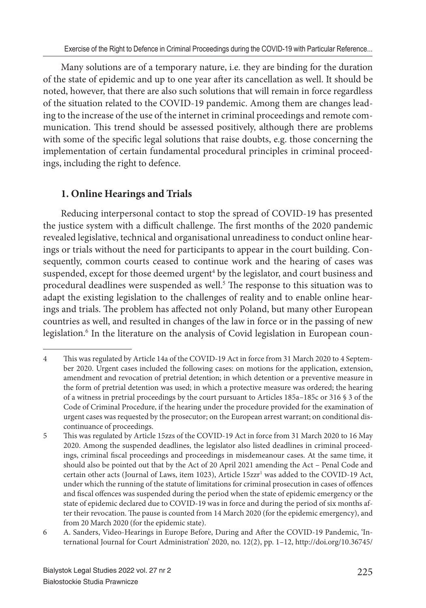Many solutions are of a temporary nature, i.e. they are binding for the duration of the state of epidemic and up to one year after its cancellation as well. It should be noted, however, that there are also such solutions that will remain in force regardless of the situation related to the COVID-19 pandemic. Among them are changes leading to the increase of the use of the internet in criminal proceedings and remote communication. This trend should be assessed positively, although there are problems with some of the specific legal solutions that raise doubts, e.g. those concerning the implementation of certain fundamental procedural principles in criminal proceedings, including the right to defence.

# **1. Online Hearings and Trials**

Reducing interpersonal contact to stop the spread of COVID-19 has presented the justice system with a difficult challenge. The first months of the 2020 pandemic revealed legislative, technical and organisational unreadiness to conduct online hearings or trials without the need for participants to appear in the court building. Consequently, common courts ceased to continue work and the hearing of cases was suspended, except for those deemed urgent<sup>4</sup> by the legislator, and court business and procedural deadlines were suspended as well.<sup>5</sup> The response to this situation was to adapt the existing legislation to the challenges of reality and to enable online hearings and trials. The problem has affected not only Poland, but many other European countries as well, and resulted in changes of the law in force or in the passing of new legislation.<sup>6</sup> In the literature on the analysis of Covid legislation in European coun-

<sup>4</sup> This was regulated by Article 14a of the COVID-19 Act in force from 31 March 2020 to 4 September 2020. Urgent cases included the following cases: on motions for the application, extension, amendment and revocation of pretrial detention; in which detention or a preventive measure in the form of pretrial detention was used; in which a protective measure was ordered; the hearing of a witness in pretrial proceedings by the court pursuant to Articles 185a–185c or 316 § 3 of the Code of Criminal Procedure, if the hearing under the procedure provided for the examination of urgent cases was requested by the prosecutor; on the European arrest warrant; on conditional discontinuance of proceedings.

<sup>5</sup> This was regulated by Article 15zzs of the COVID-19 Act in force from 31 March 2020 to 16 May 2020. Among the suspended deadlines, the legislator also listed deadlines in criminal proceedings, criminal fiscal proceedings and proceedings in misdemeanour cases. At the same time, it should also be pointed out that by the Act of 20 April 2021 amending the Act – Penal Code and certain other acts (Journal of Laws, item 1023), Article 15zzr<sup>1</sup> was added to the COVID-19 Act, under which the running of the statute of limitations for criminal prosecution in cases of offences and fiscal offences was suspended during the period when the state of epidemic emergency or the state of epidemic declared due to COVID-19 was in force and during the period of six months after their revocation. The pause is counted from 14 March 2020 (for the epidemic emergency), and from 20 March 2020 (for the epidemic state).

<sup>6</sup> A. Sanders, Video-Hearings in Europe Before, During and After the COVID-19 Pandemic, 'International Journal for Court Administration' 2020, no. 12(2), pp. 1–12, http://doi.org/10.36745/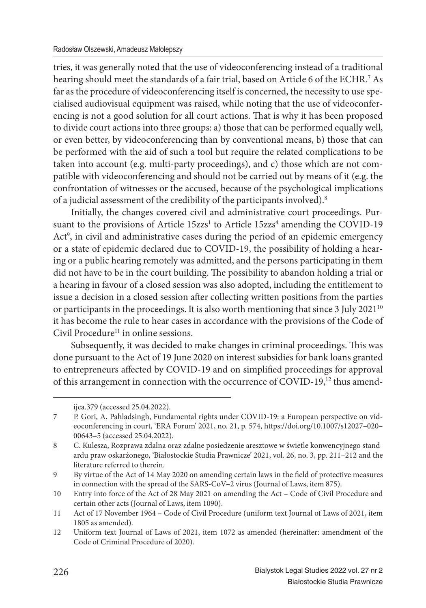tries, it was generally noted that the use of videoconferencing instead of a traditional hearing should meet the standards of a fair trial, based on Article 6 of the ECHR.<sup>7</sup> As far as the procedure of videoconferencing itself is concerned, the necessity to use specialised audiovisual equipment was raised, while noting that the use of videoconferencing is not a good solution for all court actions. That is why it has been proposed to divide court actions into three groups: a) those that can be performed equally well, or even better, by videoconferencing than by conventional means, b) those that can be performed with the aid of such a tool but require the related complications to be taken into account (e.g. multi-party proceedings), and c) those which are not compatible with videoconferencing and should not be carried out by means of it (e.g. the confrontation of witnesses or the accused, because of the psychological implications of a judicial assessment of the credibility of the participants involved).<sup>8</sup>

Initially, the changes covered civil and administrative court proceedings. Pursuant to the provisions of Article 15zzs<sup>1</sup> to Article 15zzs<sup>4</sup> amending the COVID-19 Act<sup>9</sup>, in civil and administrative cases during the period of an epidemic emergency or a state of epidemic declared due to COVID-19, the possibility of holding a hearing or a public hearing remotely was admitted, and the persons participating in them did not have to be in the court building. The possibility to abandon holding a trial or a hearing in favour of a closed session was also adopted, including the entitlement to issue a decision in a closed session after collecting written positions from the parties or participants in the proceedings. It is also worth mentioning that since  $3$  July  $2021^{10}$ it has become the rule to hear cases in accordance with the provisions of the Code of Civil Procedure<sup>11</sup> in online sessions.

Subsequently, it was decided to make changes in criminal proceedings. This was done pursuant to the Act of 19 June 2020 on interest subsidies for bank loans granted to entrepreneurs affected by COVID-19 and on simplified proceedings for approval of this arrangement in connection with the occurrence of COVID-19,12 thus amend-

ijca.379 (accessed 25.04.2022).

<sup>7</sup> P. Gori, A. Pahladsingh, Fundamental rights under COVID-19: a European perspective on videoconferencing in court, 'ERA Forum' 2021, no. 21, p. 574, https://doi.org/10.1007/s12027–020– 00643–5 (accessed 25.04.2022).

<sup>8</sup> C. Kulesza, Rozprawa zdalna oraz zdalne posiedzenie aresztowe w świetle konwencyjnego standardu praw oskarżonego, 'Białostockie Studia Prawnicze' 2021, vol. 26, no. 3, pp. 211–212 and the literature referred to therein.

<sup>9</sup> By virtue of the Act of 14 May 2020 on amending certain laws in the field of protective measures in connection with the spread of the SARS-CoV–2 virus (Journal of Laws, item 875).

<sup>10</sup> Entry into force of the Act of 28 May 2021 on amending the Act – Code of Civil Procedure and certain other acts (Journal of Laws, item 1090).

<sup>11</sup> Act of 17 November 1964 – Code of Civil Procedure (uniform text Journal of Laws of 2021, item 1805 as amended).

<sup>12</sup> Uniform text Journal of Laws of 2021, item 1072 as amended (hereinafter: amendment of the Code of Criminal Procedure of 2020).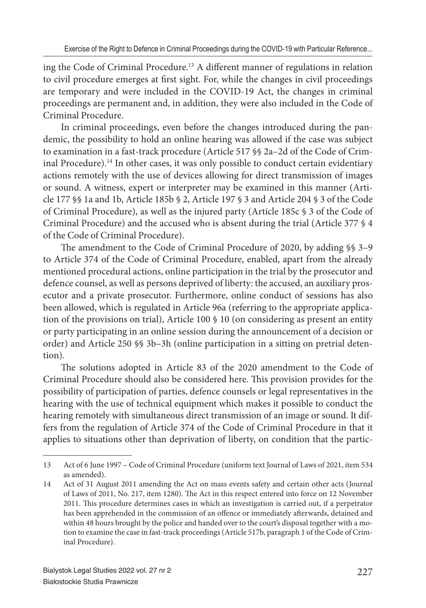ing the Code of Criminal Procedure.<sup>13</sup> A different manner of regulations in relation to civil procedure emerges at first sight. For, while the changes in civil proceedings are temporary and were included in the COVID-19 Act, the changes in criminal proceedings are permanent and, in addition, they were also included in the Code of Criminal Procedure.

In criminal proceedings, even before the changes introduced during the pandemic, the possibility to hold an online hearing was allowed if the case was subject to examination in a fast-track procedure (Article 517 §§ 2a–2d of the Code of Criminal Procedure).<sup>14</sup> In other cases, it was only possible to conduct certain evidentiary actions remotely with the use of devices allowing for direct transmission of images or sound. A witness, expert or interpreter may be examined in this manner (Article 177 §§ 1a and 1b, Article 185b § 2, Article 197 § 3 and Article 204 § 3 of the Code of Criminal Procedure), as well as the injured party (Article 185c § 3 of the Code of Criminal Procedure) and the accused who is absent during the trial (Article 377 § 4 of the Code of Criminal Procedure).

The amendment to the Code of Criminal Procedure of 2020, by adding §§ 3-9 to Article 374 of the Code of Criminal Procedure, enabled, apart from the already mentioned procedural actions, online participation in the trial by the prosecutor and defence counsel, as well as persons deprived of liberty: the accused, an auxiliary prosecutor and a private prosecutor. Furthermore, online conduct of sessions has also been allowed, which is regulated in Article 96a (referring to the appropriate application of the provisions on trial), Article 100 § 10 (on considering as present an entity or party participating in an online session during the announcement of a decision or order) and Article 250 §§ 3b–3h (online participation in a sitting on pretrial detention).

The solutions adopted in Article 83 of the 2020 amendment to the Code of Criminal Procedure should also be considered here. This provision provides for the possibility of participation of parties, defence counsels or legal representatives in the hearing with the use of technical equipment which makes it possible to conduct the hearing remotely with simultaneous direct transmission of an image or sound. It differs from the regulation of Article 374 of the Code of Criminal Procedure in that it applies to situations other than deprivation of liberty, on condition that the partic-

<sup>13</sup> Act of 6 June 1997 – Code of Criminal Procedure (uniform text Journal of Laws of 2021, item 534 as amended).

<sup>14</sup> Act of 31 August 2011 amending the Act on mass events safety and certain other acts (Journal of Laws of 2011, No. 217, item 1280). The Act in this respect entered into force on 12 November 2011. This procedure determines cases in which an investigation is carried out, if a perpetrator has been apprehended in the commission of an offence or immediately afterwards, detained and within 48 hours brought by the police and handed over to the court's disposal together with a motion to examine the case in fast-track proceedings (Article 517b, paragraph 1 of the Code of Criminal Procedure).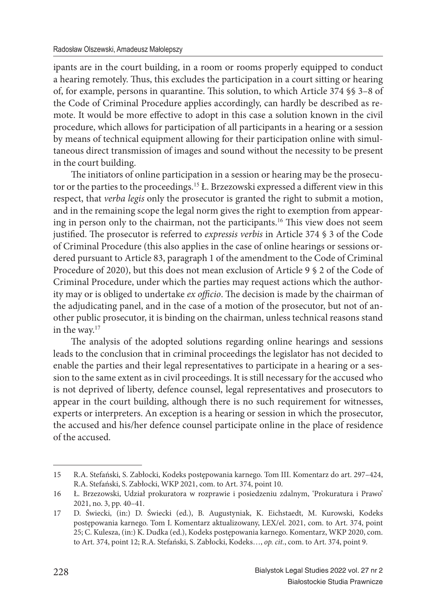ipants are in the court building, in a room or rooms properly equipped to conduct a hearing remotely. Thus, this excludes the participation in a court sitting or hearing of, for example, persons in quarantine. This solution, to which Article 374 §§ 3-8 of the Code of Criminal Procedure applies accordingly, can hardly be described as remote. It would be more effective to adopt in this case a solution known in the civil procedure, which allows for participation of all participants in a hearing or a session by means of technical equipment allowing for their participation online with simultaneous direct transmission of images and sound without the necessity to be present in the court building.

The initiators of online participation in a session or hearing may be the prosecutor or the parties to the proceedings.<sup>15</sup> Ł. Brzezowski expressed a different view in this respect, that *verba legis* only the prosecutor is granted the right to submit a motion, and in the remaining scope the legal norm gives the right to exemption from appearing in person only to the chairman, not the participants.<sup>16</sup> This view does not seem justified. The prosecutor is referred to *expressis verbis* in Article 374 § 3 of the Code of Criminal Procedure (this also applies in the case of online hearings or sessions ordered pursuant to Article 83, paragraph 1 of the amendment to the Code of Criminal Procedure of 2020), but this does not mean exclusion of Article 9 § 2 of the Code of Criminal Procedure, under which the parties may request actions which the authority may or is obliged to undertake *ex officio*. The decision is made by the chairman of the adjudicating panel, and in the case of a motion of the prosecutor, but not of another public prosecutor, it is binding on the chairman, unless technical reasons stand in the way.<sup>17</sup>

The analysis of the adopted solutions regarding online hearings and sessions leads to the conclusion that in criminal proceedings the legislator has not decided to enable the parties and their legal representatives to participate in a hearing or a session to the same extent as in civil proceedings. It is still necessary for the accused who is not deprived of liberty, defence counsel, legal representatives and prosecutors to appear in the court building, although there is no such requirement for witnesses, experts or interpreters. An exception is a hearing or session in which the prosecutor, the accused and his/her defence counsel participate online in the place of residence of the accused.

<sup>15</sup> R.A. Stefański, S. Zabłocki, Kodeks postępowania karnego. Tom III. Komentarz do art. 297–424, R.A. Stefański, S. Zabłocki, WKP 2021, com. to Art. 374, point 10.

<sup>16</sup> Ł. Brzezowski, Udział prokuratora w rozprawie i posiedzeniu zdalnym, 'Prokuratura i Prawo' 2021, no. 3, pp. 40–41.

<sup>17</sup> D. Świecki, (in:) D. Świecki (ed.), B. Augustyniak, K. Eichstaedt, M. Kurowski, Kodeks postępowania karnego. Tom I. Komentarz aktualizowany, LEX/el. 2021, com. to Art. 374, point 25; C. Kulesza, (in:) K. Dudka (ed.), Kodeks postępowania karnego. Komentarz, WKP 2020, com. to Art. 374, point 12; R.A. Stefański, S. Zabłocki, Kodeks…, *op. cit.*, com. to Art. 374, point 9.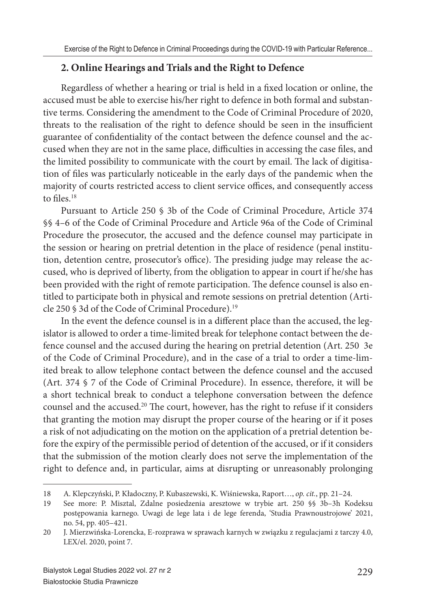# **2. Online Hearings and Trials and the Right to Defence**

Regardless of whether a hearing or trial is held in a fixed location or online, the accused must be able to exercise his/her right to defence in both formal and substantive terms. Considering the amendment to the Code of Criminal Procedure of 2020, threats to the realisation of the right to defence should be seen in the insufficient guarantee of confidentiality of the contact between the defence counsel and the accused when they are not in the same place, difficulties in accessing the case files, and the limited possibility to communicate with the court by email. The lack of digitisation of files was particularly noticeable in the early days of the pandemic when the majority of courts restricted access to client service offices, and consequently access to files.<sup>18</sup>

Pursuant to Article 250 § 3b of the Code of Criminal Procedure, Article 374 §§ 4–6 of the Code of Criminal Procedure and Article 96a of the Code of Criminal Procedure the prosecutor, the accused and the defence counsel may participate in the session or hearing on pretrial detention in the place of residence (penal institution, detention centre, prosecutor's office). The presiding judge may release the accused, who is deprived of liberty, from the obligation to appear in court if he/she has been provided with the right of remote participation. The defence counsel is also entitled to participate both in physical and remote sessions on pretrial detention (Article 250 § 3d of the Code of Criminal Procedure).<sup>19</sup>

In the event the defence counsel is in a different place than the accused, the legislator is allowed to order a time-limited break for telephone contact between the defence counsel and the accused during the hearing on pretrial detention (Art. 250 3e of the Code of Criminal Procedure), and in the case of a trial to order a time-limited break to allow telephone contact between the defence counsel and the accused (Art. 374 § 7 of the Code of Criminal Procedure). In essence, therefore, it will be a short technical break to conduct a telephone conversation between the defence counsel and the accused.<sup>20</sup> The court, however, has the right to refuse if it considers that granting the motion may disrupt the proper course of the hearing or if it poses a risk of not adjudicating on the motion on the application of a pretrial detention before the expiry of the permissible period of detention of the accused, or if it considers that the submission of the motion clearly does not serve the implementation of the right to defence and, in particular, aims at disrupting or unreasonably prolonging

<sup>18</sup> A. Klepczyński, P. Kładoczny, P. Kubaszewski, K. Wiśniewska, Raport…, *op. cit.*, pp. 21–24.

<sup>19</sup> See more: P. Misztal, Zdalne posiedzenia aresztowe w trybie art. 250 §§ 3b–3h Kodeksu postępowania karnego. Uwagi de lege lata i de lege ferenda, 'Studia Prawnoustrojowe' 2021, no. 54, pp. 405–421.

<sup>20</sup> J. Mierzwińska-Lorencka, E-rozprawa w sprawach karnych w związku z regulacjami z tarczy 4.0, LEX/el. 2020, point 7.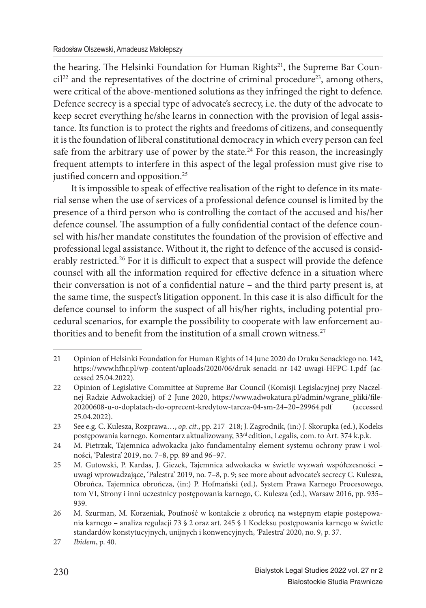the hearing. The Helsinki Foundation for Human Rights<sup>21</sup>, the Supreme Bar Council<sup>22</sup> and the representatives of the doctrine of criminal procedure<sup>23</sup>, among others, were critical of the above-mentioned solutions as they infringed the right to defence. Defence secrecy is a special type of advocate's secrecy, i.e. the duty of the advocate to keep secret everything he/she learns in connection with the provision of legal assistance. Its function is to protect the rights and freedoms of citizens, and consequently it is the foundation of liberal constitutional democracy in which every person can feel safe from the arbitrary use of power by the state. $24$  For this reason, the increasingly frequent attempts to interfere in this aspect of the legal profession must give rise to justified concern and opposition.<sup>25</sup>

It is impossible to speak of effective realisation of the right to defence in its material sense when the use of services of a professional defence counsel is limited by the presence of a third person who is controlling the contact of the accused and his/her defence counsel. The assumption of a fully confidential contact of the defence counsel with his/her mandate constitutes the foundation of the provision of effective and professional legal assistance. Without it, the right to defence of the accused is considerably restricted.<sup>26</sup> For it is difficult to expect that a suspect will provide the defence counsel with all the information required for effective defence in a situation where their conversation is not of a confidential nature – and the third party present is, at the same time, the suspect's litigation opponent. In this case it is also difficult for the defence counsel to inform the suspect of all his/her rights, including potential procedural scenarios, for example the possibility to cooperate with law enforcement authorities and to benefit from the institution of a small crown witness.<sup>27</sup>

<sup>21</sup> Opinion of Helsinki Foundation for Human Rights of 14 June 2020 do Druku Senackiego no. 142, https://www.hfhr.pl/wp-content/uploads/2020/06/druk-senacki-nr-142-uwagi-HFPC-1.pdf (accessed 25.04.2022).

<sup>22</sup> Opinion of Legislative Committee at Supreme Bar Council (Komisji Legislacyjnej przy Naczelnej Radzie Adwokackiej) of 2 June 2020, https://www.adwokatura.pl/admin/wgrane\_pliki/file-20200608-u-o-doplatach-do-oprecent-kredytow-tarcza-04-sm-24–20–29964.pdf (accessed 25.04.2022).

<sup>23</sup> See e.g. C. Kulesza, Rozprawa…, *op. cit.*, pp. 217–218; J. Zagrodnik, (in:) J. Skorupka (ed.), Kodeks postępowania karnego. Komentarz aktualizowany, 33<sup>rd</sup> edition, Legalis, com. to Art. 374 k.p.k.

<sup>24</sup> M. Pietrzak, Tajemnica adwokacka jako fundamentalny element systemu ochrony praw i wolności, 'Palestra' 2019, no. 7–8, pp. 89 and 96–97.

<sup>25</sup> M. Gutowski, P. Kardas, J. Giezek, Tajemnica adwokacka w świetle wyzwań współczesności – uwagi wprowadzające, 'Palestra' 2019, no. 7–8, p. 9; see more about advocate's secrecy C. Kulesza, Obrońca, Tajemnica obrończa, (in:) P. Hofmański (ed.), System Prawa Karnego Procesowego, tom VI, Strony i inni uczestnicy postępowania karnego, C. Kulesza (ed.), Warsaw 2016, pp. 935– 939.

<sup>26</sup> M. Szurman, M. Korzeniak, Poufność w kontakcie z obrońcą na wstępnym etapie postępowania karnego – analiza regulacji 73 § 2 oraz art. 245 § 1 Kodeksu postępowania karnego w świetle standardów konstytucyjnych, unijnych i konwencyjnych, 'Palestra' 2020, no. 9, p. 37.

<sup>27</sup> *Ibidem*, p. 40.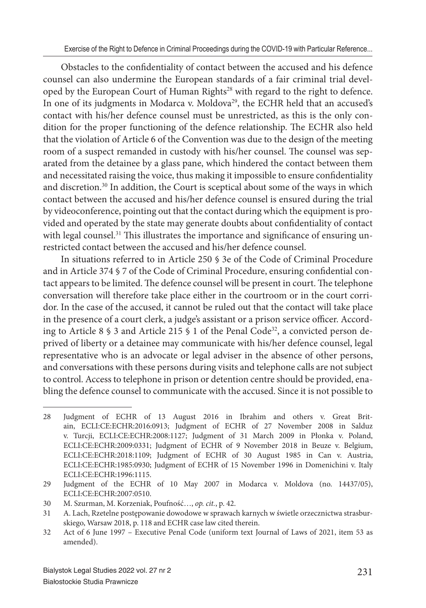Obstacles to the confidentiality of contact between the accused and his defence counsel can also undermine the European standards of a fair criminal trial developed by the European Court of Human Rights<sup>28</sup> with regard to the right to defence. In one of its judgments in Modarca v. Moldova<sup>29</sup>, the ECHR held that an accused's contact with his/her defence counsel must be unrestricted, as this is the only condition for the proper functioning of the defence relationship. The ECHR also held that the violation of Article 6 of the Convention was due to the design of the meeting room of a suspect remanded in custody with his/her counsel. The counsel was separated from the detainee by a glass pane, which hindered the contact between them and necessitated raising the voice, thus making it impossible to ensure confidentiality and discretion.<sup>30</sup> In addition, the Court is sceptical about some of the ways in which contact between the accused and his/her defence counsel is ensured during the trial by videoconference, pointing out that the contact during which the equipment is provided and operated by the state may generate doubts about confidentiality of contact with legal counsel.<sup>31</sup> This illustrates the importance and significance of ensuring unrestricted contact between the accused and his/her defence counsel.

In situations referred to in Article 250 § 3e of the Code of Criminal Procedure and in Article 374 § 7 of the Code of Criminal Procedure, ensuring confidential contact appears to be limited. The defence counsel will be present in court. The telephone conversation will therefore take place either in the courtroom or in the court corridor. In the case of the accused, it cannot be ruled out that the contact will take place in the presence of a court clerk, a judge's assistant or a prison service officer. According to Article 8  $\frac{1}{5}$  3 and Article 215  $\frac{1}{5}$  1 of the Penal Code<sup>32</sup>, a convicted person deprived of liberty or a detainee may communicate with his/her defence counsel, legal representative who is an advocate or legal adviser in the absence of other persons, and conversations with these persons during visits and telephone calls are not subject to control. Access to telephone in prison or detention centre should be provided, enabling the defence counsel to communicate with the accused. Since it is not possible to

<sup>28</sup> Judgment of ECHR of 13 August 2016 in Ibrahim and others v. Great Britain, ECLI:CE:ECHR:2016:0913; Judgment of ECHR of 27 November 2008 in Salduz v. Turcji, ECLI:CE:ECHR:2008:1127; Judgment of 31 March 2009 in Płonka v. Poland, ECLI:CE:ECHR:2009:0331; Judgment of ECHR of 9 November 2018 in Beuze v. Belgium, ECLI:CE:ECHR:2018:1109; Judgment of ECHR of 30 August 1985 in Can v. Austria, ECLI:CE:ECHR:1985:0930; Judgment of ECHR of 15 November 1996 in Domenichini v. Italy ECLI:CE:ECHR:1996:1115.

<sup>29</sup> Judgment of the ECHR of 10 May 2007 in Modarca v. Moldova (no. 14437/05), ECLI:CE:ECHR:2007:0510.

<sup>30</sup> M. Szurman, M. Korzeniak, Poufność…, *op. cit.*, p. 42.

<sup>31</sup> A. Lach, Rzetelne postępowanie dowodowe w sprawach karnych w świetle orzecznictwa strasburskiego, Warsaw 2018, p. 118 and ECHR case law cited therein.

<sup>32</sup> Act of 6 June 1997 – Executive Penal Code (uniform text Journal of Laws of 2021, item 53 as amended).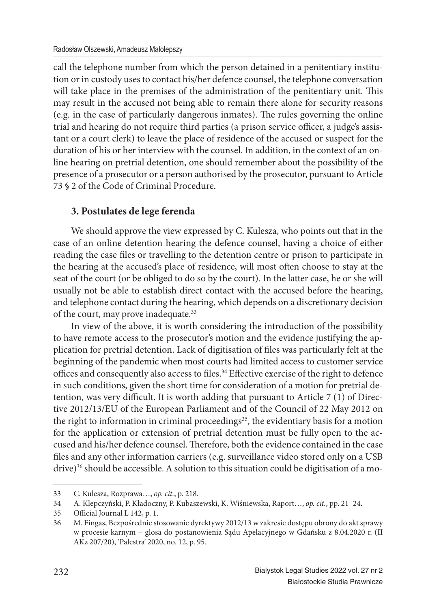call the telephone number from which the person detained in a penitentiary institution or in custody uses to contact his/her defence counsel, the telephone conversation will take place in the premises of the administration of the penitentiary unit. This may result in the accused not being able to remain there alone for security reasons (e.g. in the case of particularly dangerous inmates). The rules governing the online trial and hearing do not require third parties (a prison service officer, a judge's assistant or a court clerk) to leave the place of residence of the accused or suspect for the duration of his or her interview with the counsel. In addition, in the context of an online hearing on pretrial detention, one should remember about the possibility of the presence of a prosecutor or a person authorised by the prosecutor, pursuant to Article 73 § 2 of the Code of Criminal Procedure.

# **3. Postulates de lege ferenda**

We should approve the view expressed by C. Kulesza, who points out that in the case of an online detention hearing the defence counsel, having a choice of either reading the case files or travelling to the detention centre or prison to participate in the hearing at the accused's place of residence, will most often choose to stay at the seat of the court (or be obliged to do so by the court). In the latter case, he or she will usually not be able to establish direct contact with the accused before the hearing, and telephone contact during the hearing, which depends on a discretionary decision of the court, may prove inadequate.<sup>33</sup>

In view of the above, it is worth considering the introduction of the possibility to have remote access to the prosecutor's motion and the evidence justifying the application for pretrial detention. Lack of digitisation of files was particularly felt at the beginning of the pandemic when most courts had limited access to customer service offices and consequently also access to files.<sup>34</sup> Effective exercise of the right to defence in such conditions, given the short time for consideration of a motion for pretrial detention, was very difficult. It is worth adding that pursuant to Article  $7(1)$  of Directive 2012/13/EU of the European Parliament and of the Council of 22 May 2012 on the right to information in criminal proceedings<sup>35</sup>, the evidentiary basis for a motion for the application or extension of pretrial detention must be fully open to the accused and his/her defence counsel. Therefore, both the evidence contained in the case files and any other information carriers (e.g. surveillance video stored only on a USB drive)<sup>36</sup> should be accessible. A solution to this situation could be digitisation of a mo-

<sup>33</sup> C. Kulesza, Rozprawa…, *op. cit.*, p. 218.

<sup>34</sup> A. Klepczyński, P. Kładoczny, P. Kubaszewski, K. Wiśniewska, Raport…, *op. cit.*, pp. 21–24.

<sup>35</sup> Official Journal L 142, p. 1.

<sup>36</sup> M. Fingas, Bezpośrednie stosowanie dyrektywy 2012/13 w zakresie dostępu obrony do akt sprawy w procesie karnym – glosa do postanowienia Sądu Apelacyjnego w Gdańsku z 8.04.2020 r. (II AKz 207/20), 'Palestra' 2020, no. 12, p. 95.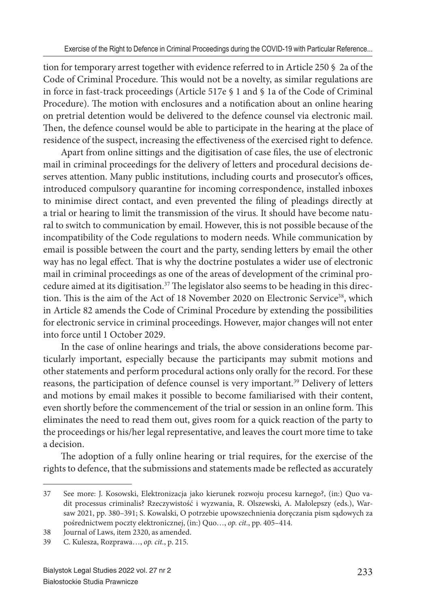tion for temporary arrest together with evidence referred to in Article 250 § 2a of the Code of Criminal Procedure. This would not be a novelty, as similar regulations are in force in fast-track proceedings (Article 517e § 1 and § 1a of the Code of Criminal Procedure). The motion with enclosures and a notification about an online hearing on pretrial detention would be delivered to the defence counsel via electronic mail. Then, the defence counsel would be able to participate in the hearing at the place of residence of the suspect, increasing the effectiveness of the exercised right to defence.

Apart from online sittings and the digitisation of case files, the use of electronic mail in criminal proceedings for the delivery of letters and procedural decisions deserves attention. Many public institutions, including courts and prosecutor's offices, introduced compulsory quarantine for incoming correspondence, installed inboxes to minimise direct contact, and even prevented the filing of pleadings directly at a trial or hearing to limit the transmission of the virus. It should have become natural to switch to communication by email. However, this is not possible because of the incompatibility of the Code regulations to modern needs. While communication by email is possible between the court and the party, sending letters by email the other way has no legal effect. That is why the doctrine postulates a wider use of electronic mail in criminal proceedings as one of the areas of development of the criminal procedure aimed at its digitisation.<sup>37</sup> The legislator also seems to be heading in this direction. This is the aim of the Act of 18 November 2020 on Electronic Service<sup>38</sup>, which in Article 82 amends the Code of Criminal Procedure by extending the possibilities for electronic service in criminal proceedings. However, major changes will not enter into force until 1 October 2029.

In the case of online hearings and trials, the above considerations become particularly important, especially because the participants may submit motions and other statements and perform procedural actions only orally for the record. For these reasons, the participation of defence counsel is very important.<sup>39</sup> Delivery of letters and motions by email makes it possible to become familiarised with their content, even shortly before the commencement of the trial or session in an online form. This eliminates the need to read them out, gives room for a quick reaction of the party to the proceedings or his/her legal representative, and leaves the court more time to take a decision.

The adoption of a fully online hearing or trial requires, for the exercise of the rights to defence, that the submissions and statements made be reflected as accurately

<sup>37</sup> See more: J. Kosowski, Elektronizacja jako kierunek rozwoju procesu karnego?, (in:) Quo vadit processus criminalis? Rzeczywistość i wyzwania, R. Olszewski, A. Małolepszy (eds.), Warsaw 2021, pp. 380–391; S. Kowalski, O potrzebie upowszechnienia doręczania pism sądowych za pośrednictwem poczty elektronicznej, (in:) Quo…, *op. cit.*, pp. 405–414.

<sup>38</sup> Journal of Laws, item 2320, as amended.

<sup>39</sup> C. Kulesza, Rozprawa…, *op. cit.*, p. 215.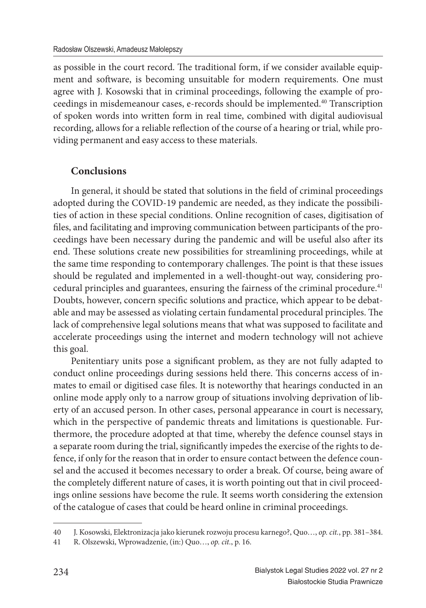as possible in the court record. The traditional form, if we consider available equipment and software, is becoming unsuitable for modern requirements. One must agree with J. Kosowski that in criminal proceedings, following the example of proceedings in misdemeanour cases, e-records should be implemented.<sup>40</sup> Transcription of spoken words into written form in real time, combined with digital audiovisual recording, allows for a reliable reflection of the course of a hearing or trial, while providing permanent and easy access to these materials.

# **Conclusions**

In general, it should be stated that solutions in the field of criminal proceedings adopted during the COVID-19 pandemic are needed, as they indicate the possibilities of action in these special conditions. Online recognition of cases, digitisation of files, and facilitating and improving communication between participants of the proceedings have been necessary during the pandemic and will be useful also after its end. These solutions create new possibilities for streamlining proceedings, while at the same time responding to contemporary challenges. The point is that these issues should be regulated and implemented in a well-thought-out way, considering procedural principles and guarantees, ensuring the fairness of the criminal procedure.<sup>41</sup> Doubts, however, concern specific solutions and practice, which appear to be debatable and may be assessed as violating certain fundamental procedural principles. The lack of comprehensive legal solutions means that what was supposed to facilitate and accelerate proceedings using the internet and modern technology will not achieve this goal.

Penitentiary units pose a significant problem, as they are not fully adapted to conduct online proceedings during sessions held there. This concerns access of inmates to email or digitised case files. It is noteworthy that hearings conducted in an online mode apply only to a narrow group of situations involving deprivation of liberty of an accused person. In other cases, personal appearance in court is necessary, which in the perspective of pandemic threats and limitations is questionable. Furthermore, the procedure adopted at that time, whereby the defence counsel stays in a separate room during the trial, significantly impedes the exercise of the rights to defence, if only for the reason that in order to ensure contact between the defence counsel and the accused it becomes necessary to order a break. Of course, being aware of the completely different nature of cases, it is worth pointing out that in civil proceedings online sessions have become the rule. It seems worth considering the extension of the catalogue of cases that could be heard online in criminal proceedings.

<sup>40</sup> J. Kosowski, Elektronizacja jako kierunek rozwoju procesu karnego?, Quo…, *op. cit.*, pp. 381–384.

<sup>41</sup> R. Olszewski, Wprowadzenie, (in:) Quo…, *op. cit.*, p. 16.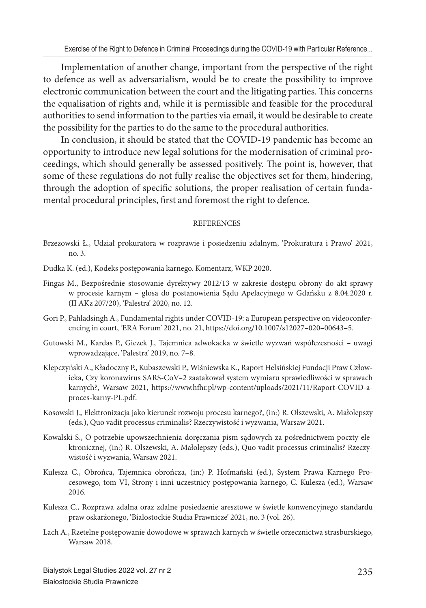Implementation of another change, important from the perspective of the right to defence as well as adversarialism, would be to create the possibility to improve electronic communication between the court and the litigating parties. This concerns the equalisation of rights and, while it is permissible and feasible for the procedural authorities to send information to the parties via email, it would be desirable to create the possibility for the parties to do the same to the procedural authorities.

In conclusion, it should be stated that the COVID-19 pandemic has become an opportunity to introduce new legal solutions for the modernisation of criminal proceedings, which should generally be assessed positively. The point is, however, that some of these regulations do not fully realise the objectives set for them, hindering, through the adoption of specific solutions, the proper realisation of certain fundamental procedural principles, first and foremost the right to defence.

#### **REFERENCES**

- Brzezowski Ł., Udział prokuratora w rozprawie i posiedzeniu zdalnym, 'Prokuratura i Prawo' 2021, no. 3.
- Dudka K. (ed.), Kodeks postępowania karnego. Komentarz, WKP 2020.
- Fingas M., Bezpośrednie stosowanie dyrektywy 2012/13 w zakresie dostępu obrony do akt sprawy w procesie karnym – glosa do postanowienia Sądu Apelacyjnego w Gdańsku z 8.04.2020 r. (II AKz 207/20), 'Palestra' 2020, no. 12.
- Gori P., Pahladsingh A., Fundamental rights under COVID-19: a European perspective on videoconferencing in court, 'ERA Forum' 2021, no. 21, https://doi.org/10.1007/s12027–020–00643–5.
- Gutowski M., Kardas P., Giezek J., Tajemnica adwokacka w świetle wyzwań współczesności uwagi wprowadzające, 'Palestra' 2019, no. 7–8.
- Klepczyński A., Kładoczny P., Kubaszewski P., Wiśniewska K., Raport Helsińskiej Fundacji Praw Człowieka, Czy koronawirus SARS-CoV–2 zaatakował system wymiaru sprawiedliwości w sprawach karnych?, Warsaw 2021, https://www.hfhr.pl/wp-content/uploads/2021/11/Raport-COVID-aproces-karny-PL.pdf.
- Kosowski J., Elektronizacja jako kierunek rozwoju procesu karnego?, (in:) R. Olszewski, A. Małolepszy (eds.), Quo vadit processus criminalis? Rzeczywistość i wyzwania, Warsaw 2021.
- Kowalski S., O potrzebie upowszechnienia doręczania pism sądowych za pośrednictwem poczty elektronicznej, (in:) R. Olszewski, A. Małolepszy (eds.), Quo vadit processus criminalis? Rzeczywistość i wyzwania, Warsaw 2021.
- Kulesza C., Obrońca, Tajemnica obrończa, (in:) P. Hofmański (ed.), System Prawa Karnego Procesowego, tom VI, Strony i inni uczestnicy postępowania karnego, C. Kulesza (ed.), Warsaw 2016.
- Kulesza C., Rozprawa zdalna oraz zdalne posiedzenie aresztowe w świetle konwencyjnego standardu praw oskarżonego, 'Białostockie Studia Prawnicze' 2021, no. 3 (vol. 26).
- Lach A., Rzetelne postępowanie dowodowe w sprawach karnych w świetle orzecznictwa strasburskiego, Warsaw 2018.